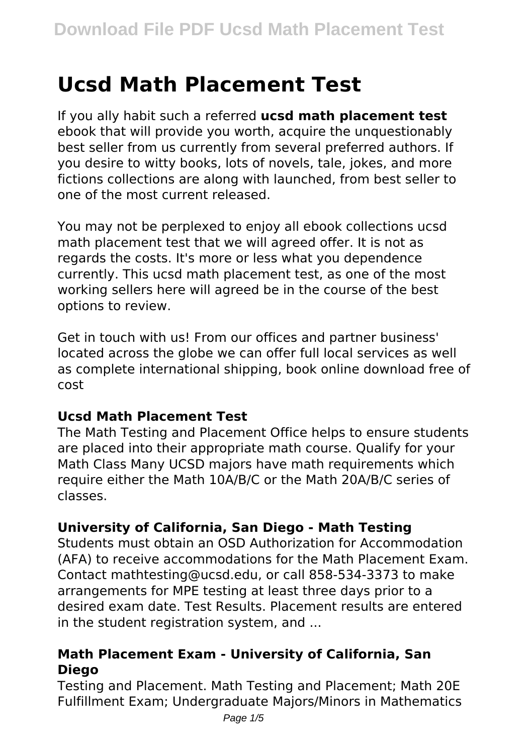# **Ucsd Math Placement Test**

If you ally habit such a referred **ucsd math placement test** ebook that will provide you worth, acquire the unquestionably best seller from us currently from several preferred authors. If you desire to witty books, lots of novels, tale, jokes, and more fictions collections are along with launched, from best seller to one of the most current released.

You may not be perplexed to enjoy all ebook collections ucsd math placement test that we will agreed offer. It is not as regards the costs. It's more or less what you dependence currently. This ucsd math placement test, as one of the most working sellers here will agreed be in the course of the best options to review.

Get in touch with us! From our offices and partner business' located across the globe we can offer full local services as well as complete international shipping, book online download free of cost

## **Ucsd Math Placement Test**

The Math Testing and Placement Office helps to ensure students are placed into their appropriate math course. Qualify for your Math Class Many UCSD majors have math requirements which require either the Math 10A/B/C or the Math 20A/B/C series of classes.

## **University of California, San Diego - Math Testing**

Students must obtain an OSD Authorization for Accommodation (AFA) to receive accommodations for the Math Placement Exam. Contact mathtesting@ucsd.edu, or call 858-534-3373 to make arrangements for MPE testing at least three days prior to a desired exam date. Test Results. Placement results are entered in the student registration system, and ...

## **Math Placement Exam - University of California, San Diego**

Testing and Placement. Math Testing and Placement; Math 20E Fulfillment Exam; Undergraduate Majors/Minors in Mathematics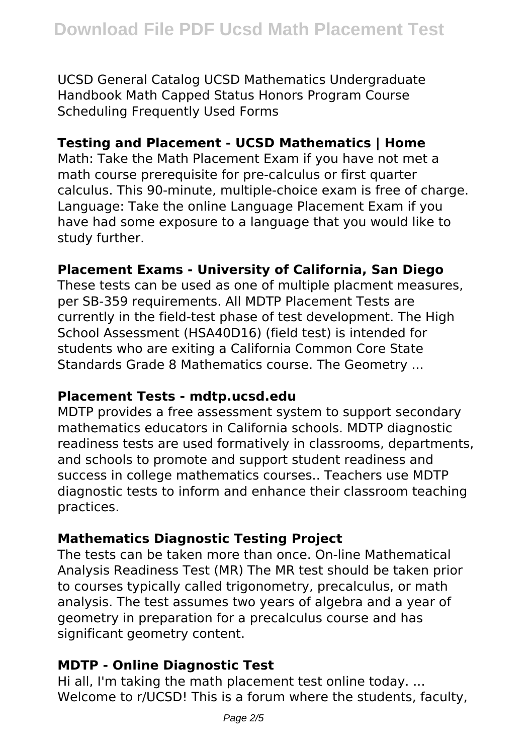UCSD General Catalog UCSD Mathematics Undergraduate Handbook Math Capped Status Honors Program Course Scheduling Frequently Used Forms

## **Testing and Placement - UCSD Mathematics | Home**

Math: Take the Math Placement Exam if you have not met a math course prerequisite for pre-calculus or first quarter calculus. This 90-minute, multiple-choice exam is free of charge. Language: Take the online Language Placement Exam if you have had some exposure to a language that you would like to study further.

## **Placement Exams - University of California, San Diego**

These tests can be used as one of multiple placment measures, per SB-359 requirements. All MDTP Placement Tests are currently in the field-test phase of test development. The High School Assessment (HSA40D16) (field test) is intended for students who are exiting a California Common Core State Standards Grade 8 Mathematics course. The Geometry ...

## **Placement Tests - mdtp.ucsd.edu**

MDTP provides a free assessment system to support secondary mathematics educators in California schools. MDTP diagnostic readiness tests are used formatively in classrooms, departments, and schools to promote and support student readiness and success in college mathematics courses.. Teachers use MDTP diagnostic tests to inform and enhance their classroom teaching practices.

## **Mathematics Diagnostic Testing Project**

The tests can be taken more than once. On-line Mathematical Analysis Readiness Test (MR) The MR test should be taken prior to courses typically called trigonometry, precalculus, or math analysis. The test assumes two years of algebra and a year of geometry in preparation for a precalculus course and has significant geometry content.

## **MDTP - Online Diagnostic Test**

Hi all, I'm taking the math placement test online today. ... Welcome to r/UCSD! This is a forum where the students, faculty,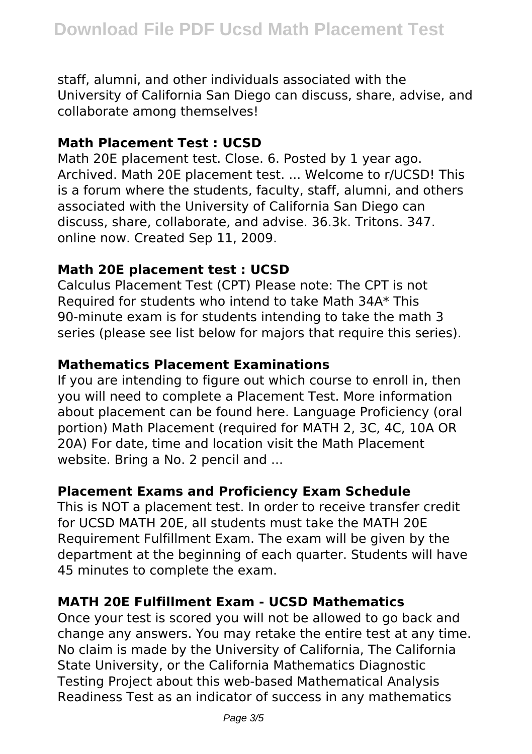staff, alumni, and other individuals associated with the University of California San Diego can discuss, share, advise, and collaborate among themselves!

#### **Math Placement Test : UCSD**

Math 20E placement test. Close. 6. Posted by 1 year ago. Archived. Math 20E placement test. ... Welcome to r/UCSD! This is a forum where the students, faculty, staff, alumni, and others associated with the University of California San Diego can discuss, share, collaborate, and advise. 36.3k. Tritons. 347. online now. Created Sep 11, 2009.

#### **Math 20E placement test : UCSD**

Calculus Placement Test (CPT) Please note: The CPT is not Required for students who intend to take Math 34A\* This 90-minute exam is for students intending to take the math 3 series (please see list below for majors that require this series).

#### **Mathematics Placement Examinations**

If you are intending to figure out which course to enroll in, then you will need to complete a Placement Test. More information about placement can be found here. Language Proficiency (oral portion) Math Placement (required for MATH 2, 3C, 4C, 10A OR 20A) For date, time and location visit the Math Placement website. Bring a No. 2 pencil and ...

## **Placement Exams and Proficiency Exam Schedule**

This is NOT a placement test. In order to receive transfer credit for UCSD MATH 20E, all students must take the MATH 20E Requirement Fulfillment Exam. The exam will be given by the department at the beginning of each quarter. Students will have 45 minutes to complete the exam.

#### **MATH 20E Fulfillment Exam - UCSD Mathematics**

Once your test is scored you will not be allowed to go back and change any answers. You may retake the entire test at any time. No claim is made by the University of California, The California State University, or the California Mathematics Diagnostic Testing Project about this web-based Mathematical Analysis Readiness Test as an indicator of success in any mathematics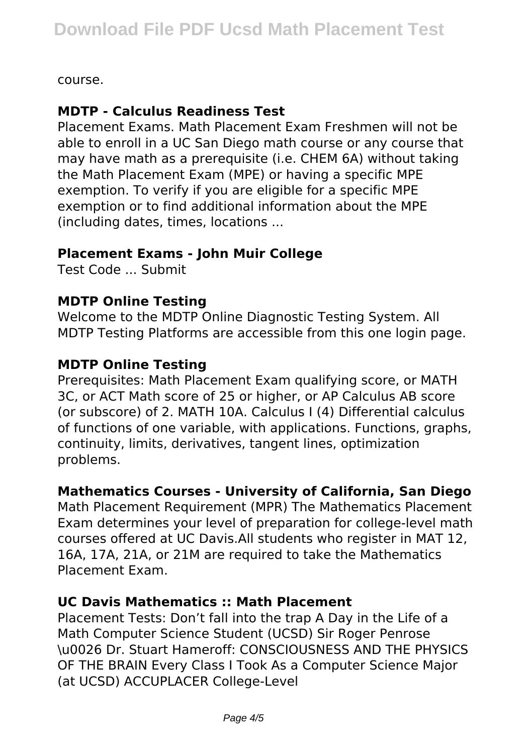course.

## **MDTP - Calculus Readiness Test**

Placement Exams. Math Placement Exam Freshmen will not be able to enroll in a UC San Diego math course or any course that may have math as a prerequisite (i.e. CHEM 6A) without taking the Math Placement Exam (MPE) or having a specific MPE exemption. To verify if you are eligible for a specific MPE exemption or to find additional information about the MPE (including dates, times, locations ...

#### **Placement Exams - John Muir College**

Test Code ... Submit

#### **MDTP Online Testing**

Welcome to the MDTP Online Diagnostic Testing System. All MDTP Testing Platforms are accessible from this one login page.

#### **MDTP Online Testing**

Prerequisites: Math Placement Exam qualifying score, or MATH 3C, or ACT Math score of 25 or higher, or AP Calculus AB score (or subscore) of 2. MATH 10A. Calculus I (4) Differential calculus of functions of one variable, with applications. Functions, graphs, continuity, limits, derivatives, tangent lines, optimization problems.

## **Mathematics Courses - University of California, San Diego**

Math Placement Requirement (MPR) The Mathematics Placement Exam determines your level of preparation for college-level math courses offered at UC Davis.All students who register in MAT 12, 16A, 17A, 21A, or 21M are required to take the Mathematics Placement Exam.

#### **UC Davis Mathematics :: Math Placement**

Placement Tests: Don't fall into the trap A Day in the Life of a Math Computer Science Student (UCSD) Sir Roger Penrose \u0026 Dr. Stuart Hameroff: CONSCIOUSNESS AND THE PHYSICS OF THE BRAIN Every Class I Took As a Computer Science Major (at UCSD) ACCUPLACER College-Level